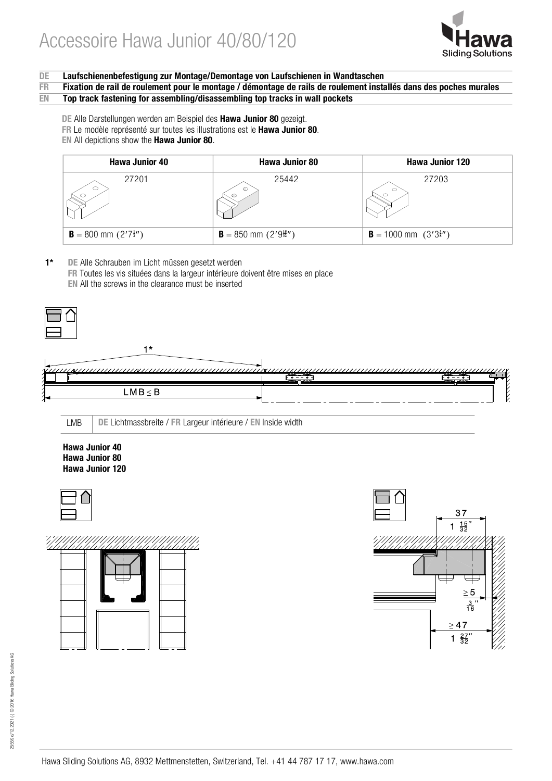

## DE Laufschienenbefestigung zur Montage/Demontage von Laufschienen in Wandtaschen<br>FRF Fixation de rail de roulement pour le montage / démontage de rails de roulement insta

FR Fixation de rail de roulement pour le montage / démontage de rails de roulement installés dans des poches murales<br>EN Top track fastening for assembling/disassembling top tracks in wall pockets Top track fastening for assembling/disassembling top tracks in wall pockets

DE Alle Darstellungen werden am Beispiel des Hawa Junior 80 gezeigt.

- FR Le modèle représenté sur toutes les illustrations est le Hawa Junior 80.
- EN All depictions show the Hawa Junior 80.

| <b>Hawa Junior 40</b>                   | <b>Hawa Junior 80</b>                    | <b>Hawa Junior 120</b>                  |
|-----------------------------------------|------------------------------------------|-----------------------------------------|
| 27201                                   | 25442<br>$\circ$                         | 27203                                   |
| <b>B</b> = 800 mm $(2'7\frac{1}{2}''')$ | <b>B</b> = 850 mm $(2'9\frac{15}{32}'')$ | <b>B</b> = 1000 mm $(3'3\frac{3}{8}'')$ |

1\* DE Alle Schrauben im Licht müssen gesetzt werden FR Toutes les vis situées dans la largeur intérieure doivent être mises en place EN All the screws in the clearance must be inserted